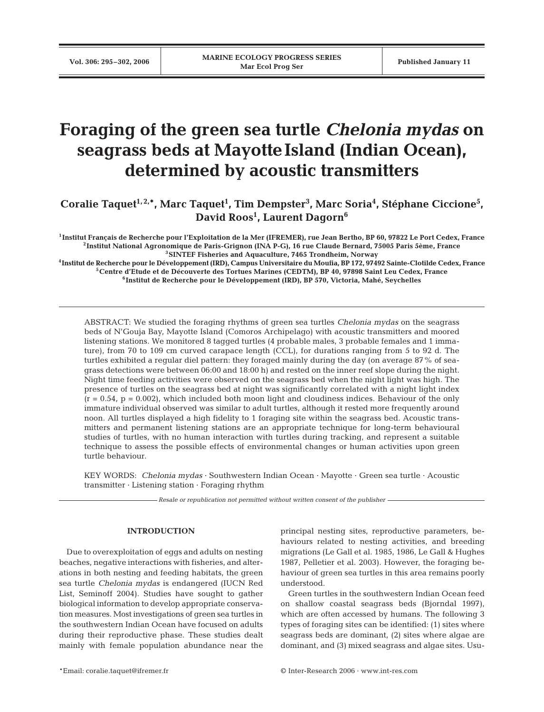# **Foraging of the green sea turtle** *Chelonia mydas* **on** seagrass beds at Mayotte Island (Indian Ocean), **determined by acoustic transmitters**

Coralie Taquet<sup>1,2,\*</sup>, Marc Taquet<sup>1</sup>, Tim Dempster<sup>3</sup>, Marc Soria<sup>4</sup>, Stéphane Ciccione<sup>5</sup>, **David Roos1 , Laurent Dagorn6**

**1Institut Français de Recherche pour l'Exploitation de la Mer (IFREMER), rue Jean Bertho, BP 60, 97822 Le Port Cedex, France 2Institut National Agronomique de Paris-Grignon (INA P-G), 16 rue Claude Bernard, 75005 Paris 5ème, France 3SINTEF Fisheries and Aquaculture, 7465 Trondheim, Norway**

**4Institut de Recherche pour le Développement (IRD), Campus Universitaire du Moufia, BP 172, 97492 Sainte-Clotilde Cedex, France 5Centre d'Etude et de Découverte des Tortues Marines (CEDTM), BP 40, 97898 Saint Leu Cedex, France 6Institut de Recherche pour le Développement (IRD), BP 570, Victoria, Mahé, Seychelles**

ABSTRACT: We studied the foraging rhythms of green sea turtles *Chelonia mydas* on the seagrass beds of N'Gouja Bay, Mayotte Island (Comoros Archipelago) with acoustic transmitters and moored listening stations. We monitored 8 tagged turtles (4 probable males, 3 probable females and 1 immature), from 70 to 109 cm curved carapace length (CCL), for durations ranging from 5 to 92 d. The turtles exhibited a regular diel pattern: they foraged mainly during the day (on average 87% of seagrass detections were between 06:00 and 18:00 h) and rested on the inner reef slope during the night. Night time feeding activities were observed on the seagrass bed when the night light was high. The presence of turtles on the seagrass bed at night was significantly correlated with a night light index  $(r = 0.54, p = 0.002)$ , which included both moon light and cloudiness indices. Behaviour of the only immature individual observed was similar to adult turtles, although it rested more frequently around noon. All turtles displayed a high fidelity to 1 foraging site within the seagrass bed. Acoustic transmitters and permanent listening stations are an appropriate technique for long-term behavioural studies of turtles, with no human interaction with turtles during tracking, and represent a suitable technique to assess the possible effects of environmental changes or human activities upon green turtle behaviour.

KEY WORDS: *Chelonia mydas* · Southwestern Indian Ocean · Mayotte · Green sea turtle · Acoustic transmitter · Listening station · Foraging rhythm

*Resale or republication not permitted without written consent of the publisher*

# **INTRODUCTION**

Due to overexploitation of eggs and adults on nesting beaches, negative interactions with fisheries, and alterations in both nesting and feeding habitats, the green sea turtle *Chelonia mydas* is endangered (IUCN Red List, Seminoff 2004). Studies have sought to gather biological information to develop appropriate conservation measures. Most investigations of green sea turtles in the southwestern Indian Ocean have focused on adults during their reproductive phase. These studies dealt mainly with female population abundance near the

principal nesting sites, reproductive parameters, behaviours related to nesting activities, and breeding migrations (Le Gall et al. 1985, 1986, Le Gall & Hughes 1987, Pelletier et al. 2003). However, the foraging behaviour of green sea turtles in this area remains poorly understood.

Green turtles in the southwestern Indian Ocean feed on shallow coastal seagrass beds (Bjorndal 1997), which are often accessed by humans. The following 3 types of foraging sites can be identified: (1) sites where seagrass beds are dominant, (2) sites where algae are dominant, and (3) mixed seagrass and algae sites. Usu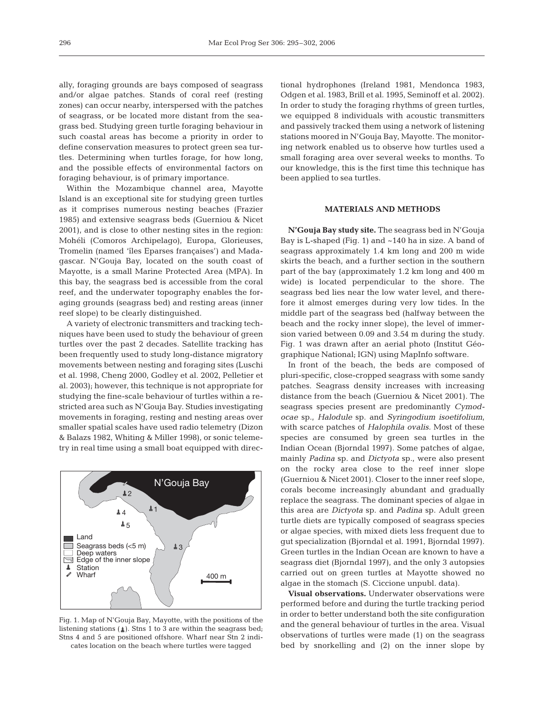ally, foraging grounds are bays composed of seagrass and/or algae patches. Stands of coral reef (resting zones) can occur nearby, interspersed with the patches of seagrass, or be located more distant from the seagrass bed. Studying green turtle foraging behaviour in such coastal areas has become a priority in order to define conservation measures to protect green sea turtles. Determining when turtles forage, for how long, and the possible effects of environmental factors on foraging behaviour, is of primary importance.

Within the Mozambique channel area, Mayotte Island is an exceptional site for studying green turtles as it comprises numerous nesting beaches (Frazier 1985) and extensive seagrass beds (Guerniou & Nicet 2001), and is close to other nesting sites in the region: Mohéli (Comoros Archipelago), Europa, Glorieuses, Tromelin (named 'îles Eparses françaises') and Madagascar. N'Gouja Bay, located on the south coast of Mayotte, is a small Marine Protected Area (MPA). In this bay, the seagrass bed is accessible from the coral reef, and the underwater topography enables the foraging grounds (seagrass bed) and resting areas (inner reef slope) to be clearly distinguished.

A variety of electronic transmitters and tracking techniques have been used to study the behaviour of green turtles over the past 2 decades. Satellite tracking has been frequently used to study long-distance migratory movements between nesting and foraging sites (Luschi et al. 1998, Cheng 2000, Godley et al. 2002, Pelletier et al. 2003); however, this technique is not appropriate for studying the fine-scale behaviour of turtles within a restricted area such as N'Gouja Bay. Studies investigating movements in foraging, resting and nesting areas over smaller spatial scales have used radio telemetry (Dizon & Balazs 1982, Whiting & Miller 1998), or sonic telemetry in real time using a small boat equipped with direc-



Fig. 1. Map of N'Gouja Bay, Mayotte, with the positions of the listening stations  $(\perp)$ . Stns 1 to 3 are within the seagrass bed; Stns 4 and 5 are positioned offshore. Wharf near Stn 2 indicates location on the beach where turtles were tagged

tional hydrophones (Ireland 1981, Mendonca 1983, Odgen et al. 1983, Brill et al. 1995, Seminoff et al. 2002). In order to study the foraging rhythms of green turtles, we equipped 8 individuals with acoustic transmitters and passively tracked them using a network of listening stations moored in N'Gouja Bay, Mayotte. The monitoring network enabled us to observe how turtles used a small foraging area over several weeks to months. To our knowledge, this is the first time this technique has been applied to sea turtles.

#### **MATERIALS AND METHODS**

**N'Gouja Bay study site.** The seagrass bed in N'Gouja Bay is L-shaped (Fig. 1) and ~140 ha in size. A band of seagrass approximately 1.4 km long and 200 m wide skirts the beach, and a further section in the southern part of the bay (approximately 1.2 km long and 400 m wide) is located perpendicular to the shore. The seagrass bed lies near the low water level, and therefore it almost emerges during very low tides. In the middle part of the seagrass bed (halfway between the beach and the rocky inner slope), the level of immersion varied between 0.09 and 3.54 m during the study. Fig. 1 was drawn after an aerial photo (Institut Géographique National; IGN) using MapInfo software.

In front of the beach, the beds are composed of pluri-specific, close-cropped seagrass with some sandy patches. Seagrass density increases with increasing distance from the beach (Guerniou & Nicet 2001). The seagrass species present are predominantly *Cymodocae* sp.*, Halodule* sp. and *Syringodium isoetifolium,* with scarce patches of *Halophila ovalis.* Most of these species are consumed by green sea turtles in the Indian Ocean (Bjorndal 1997). Some patches of algae, mainly *Padina* sp. and *Dictyota* sp., were also present on the rocky area close to the reef inner slope (Guerniou & Nicet 2001). Closer to the inner reef slope, corals become increasingly abundant and gradually replace the seagrass. The dominant species of algae in this area are *Dictyota* sp. and *Padina* sp. Adult green turtle diets are typically composed of seagrass species or algae species, with mixed diets less frequent due to gut specialization (Bjorndal et al. 1991, Bjorndal 1997). Green turtles in the Indian Ocean are known to have a seagrass diet (Bjorndal 1997), and the only 3 autopsies carried out on green turtles at Mayotte showed no algae in the stomach (S. Ciccione unpubl. data).

**Visual observations.** Underwater observations were performed before and during the turtle tracking period in order to better understand both the site configuration and the general behaviour of turtles in the area. Visual observations of turtles were made (1) on the seagrass bed by snorkelling and (2) on the inner slope by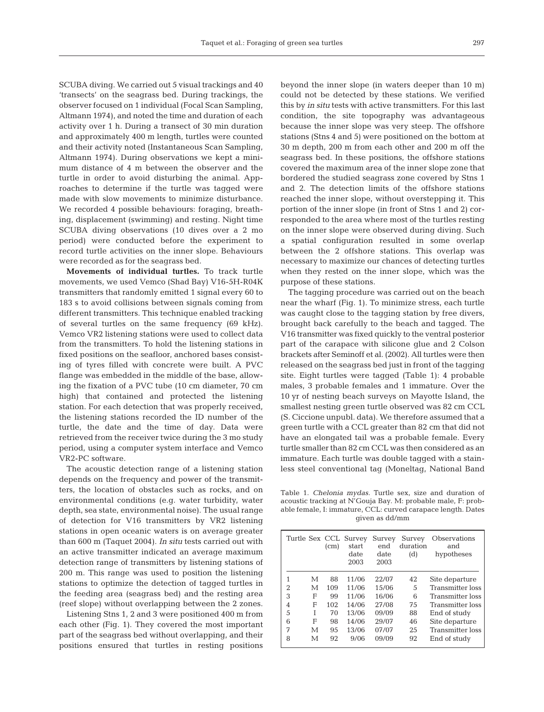SCUBA diving. We carried out 5 visual trackings and 40 'transects' on the seagrass bed. During trackings, the observer focused on 1 individual (Focal Scan Sampling, Altmann 1974), and noted the time and duration of each activity over 1 h. During a transect of 30 min duration and approximately 400 m length, turtles were counted and their activity noted (Instantaneous Scan Sampling, Altmann 1974). During observations we kept a minimum distance of 4 m between the observer and the turtle in order to avoid disturbing the animal. Approaches to determine if the turtle was tagged were made with slow movements to minimize disturbance. We recorded 4 possible behaviours: foraging, breathing, displacement (swimming) and resting. Night time SCUBA diving observations (10 dives over a 2 mo period) were conducted before the experiment to record turtle activities on the inner slope. Behaviours were recorded as for the seagrass bed.

**Movements of individual turtles.** To track turtle movements, we used Vemco (Shad Bay) V16-5H-R04K transmitters that randomly emitted 1 signal every 60 to 183 s to avoid collisions between signals coming from different transmitters. This technique enabled tracking of several turtles on the same frequency (69 kHz). Vemco VR2 listening stations were used to collect data from the transmitters. To hold the listening stations in fixed positions on the seafloor, anchored bases consisting of tyres filled with concrete were built. A PVC flange was embedded in the middle of the base, allowing the fixation of a PVC tube (10 cm diameter, 70 cm high) that contained and protected the listening station. For each detection that was properly received, the listening stations recorded the ID number of the turtle, the date and the time of day. Data were retrieved from the receiver twice during the 3 mo study period, using a computer system interface and Vemco VR2-PC software.

The acoustic detection range of a listening station depends on the frequency and power of the transmitters, the location of obstacles such as rocks, and on environmental conditions (e.g. water turbidity, water depth, sea state, environmental noise). The usual range of detection for V16 transmitters by VR2 listening stations in open oceanic waters is on average greater than 600 m (Taquet 2004). *In situ* tests carried out with an active transmitter indicated an average maximum detection range of transmitters by listening stations of 200 m. This range was used to position the listening stations to optimize the detection of tagged turtles in the feeding area (seagrass bed) and the resting area (reef slope) without overlapping between the 2 zones.

Listening Stns 1, 2 and 3 were positioned 400 m from each other (Fig. 1). They covered the most important part of the seagrass bed without overlapping, and their positions ensured that turtles in resting positions

beyond the inner slope (in waters deeper than 10 m) could not be detected by these stations. We verified this by *in situ* tests with active transmitters. For this last condition, the site topography was advantageous because the inner slope was very steep. The offshore stations (Stns 4 and 5) were positioned on the bottom at 30 m depth, 200 m from each other and 200 m off the seagrass bed. In these positions, the offshore stations covered the maximum area of the inner slope zone that bordered the studied seagrass zone covered by Stns 1 and 2. The detection limits of the offshore stations reached the inner slope, without overstepping it. This portion of the inner slope (in front of Stns 1 and 2) corresponded to the area where most of the turtles resting on the inner slope were observed during diving. Such a spatial configuration resulted in some overlap between the 2 offshore stations. This overlap was necessary to maximize our chances of detecting turtles when they rested on the inner slope, which was the purpose of these stations.

The tagging procedure was carried out on the beach near the wharf (Fig. 1). To minimize stress, each turtle was caught close to the tagging station by free divers, brought back carefully to the beach and tagged. The V16 transmitter was fixed quickly to the ventral posterior part of the carapace with silicone glue and 2 Colson brackets after Seminoff et al. (2002). All turtles were then released on the seagrass bed just in front of the tagging site. Eight turtles were tagged (Table 1): 4 probable males, 3 probable females and 1 immature. Over the 10 yr of nesting beach surveys on Mayotte Island, the smallest nesting green turtle observed was 82 cm CCL (S. Ciccione unpubl. data). We therefore assumed that a green turtle with a CCL greater than 82 cm that did not have an elongated tail was a probable female. Every turtle smaller than 82 cm CCL was then considered as an immature. Each turtle was double tagged with a stainless steel conventional tag (Moneltag, National Band

Table 1. *Chelonia mydas.* Turtle sex, size and duration of acoustic tracking at N'Gouja Bay. M: probable male, F: probable female, I: immature, CCL: curved carapace length. Dates given as dd/mm

|   |   | (c <sub>m</sub> ) | Turtle Sex CCL Survey<br>start<br>date<br>2003 | Survey<br>end<br>date<br>2003 | Survey<br>duration<br>(d) | Observations<br>and<br>hypotheses |
|---|---|-------------------|------------------------------------------------|-------------------------------|---------------------------|-----------------------------------|
| 1 | М | 88                | 11/06                                          | 22/07                         | 42                        | Site departure                    |
| 2 | М | 109               | 11/06                                          | 15/06                         | 5                         | <b>Transmitter loss</b>           |
| 3 | F | 99                | 11/06                                          | 16/06                         | 6                         | <b>Transmitter loss</b>           |
| 4 | F | 102               | 14/06                                          | 27/08                         | 75                        | <b>Transmitter loss</b>           |
| 5 | T | 70                | 13/06                                          | 09/09                         | 88                        | End of study                      |
| 6 | F | 98                | 14/06                                          | 29/07                         | 46                        | Site departure                    |
| 7 | М | 95                | 13/06                                          | 07/07                         | 25                        | <b>Transmitter loss</b>           |
| 8 | М | 92                | 9/06                                           | 09/09                         | 92                        | End of study                      |
|   |   |                   |                                                |                               |                           |                                   |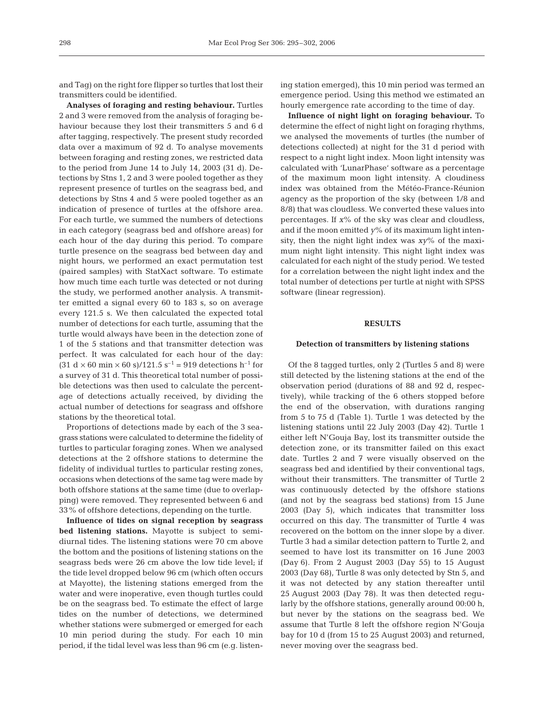and Tag) on the right fore flipper so turtles that lost their transmitters could be identified.

**Analyses of foraging and resting behaviour.** Turtles 2 and 3 were removed from the analysis of foraging behaviour because they lost their transmitters 5 and 6 d after tagging, respectively. The present study recorded data over a maximum of 92 d. To analyse movements between foraging and resting zones, we restricted data to the period from June 14 to July 14, 2003 (31 d). Detections by Stns 1, 2 and 3 were pooled together as they represent presence of turtles on the seagrass bed, and detections by Stns 4 and 5 were pooled together as an indication of presence of turtles at the offshore area. For each turtle, we summed the numbers of detections in each category (seagrass bed and offshore areas) for each hour of the day during this period. To compare turtle presence on the seagrass bed between day and night hours, we performed an exact permutation test (paired samples) with StatXact software. To estimate how much time each turtle was detected or not during the study, we performed another analysis. A transmitter emitted a signal every 60 to 183 s, so on average every 121.5 s. We then calculated the expected total number of detections for each turtle, assuming that the turtle would always have been in the detection zone of 1 of the 5 stations and that transmitter detection was perfect. It was calculated for each hour of the day: (31 d  $\times$  60 min  $\times$  60 s)/121.5 s<sup>-1</sup> = 919 detections h<sup>-1</sup> for a survey of 31 d. This theoretical total number of possible detections was then used to calculate the percentage of detections actually received, by dividing the actual number of detections for seagrass and offshore stations by the theoretical total.

Proportions of detections made by each of the 3 seagrass stations were calculated to determine the fidelity of turtles to particular foraging zones. When we analysed detections at the 2 offshore stations to determine the fidelity of individual turtles to particular resting zones, occasions when detections of the same tag were made by both offshore stations at the same time (due to overlapping) were removed. They represented between 6 and 33% of offshore detections, depending on the turtle.

**Influence of tides on signal reception by seagrass bed listening stations.** Mayotte is subject to semidiurnal tides. The listening stations were 70 cm above the bottom and the positions of listening stations on the seagrass beds were 26 cm above the low tide level; if the tide level dropped below 96 cm (which often occurs at Mayotte), the listening stations emerged from the water and were inoperative, even though turtles could be on the seagrass bed. To estimate the effect of large tides on the number of detections, we determined whether stations were submerged or emerged for each 10 min period during the study. For each 10 min period, if the tidal level was less than 96 cm (e.g. listening station emerged), this 10 min period was termed an emergence period. Using this method we estimated an hourly emergence rate according to the time of day.

**Influence of night light on foraging behaviour.** To determine the effect of night light on foraging rhythms, we analysed the movements of turtles (the number of detections collected) at night for the 31 d period with respect to a night light index. Moon light intensity was calculated with 'LunarPhase' software as a percentage of the maximum moon light intensity. A cloudiness index was obtained from the Météo-France-Réunion agency as the proportion of the sky (between 1/8 and 8/8) that was cloudless. We converted these values into percentages. If *x*% of the sky was clear and cloudless, and if the moon emitted *y*% of its maximum light intensity, then the night light index was *xy*% of the maximum night light intensity. This night light index was calculated for each night of the study period. We tested for a correlation between the night light index and the total number of detections per turtle at night with SPSS software (linear regression).

## **RESULTS**

#### **Detection of transmitters by listening stations**

Of the 8 tagged turtles, only 2 (Turtles 5 and 8) were still detected by the listening stations at the end of the observation period (durations of 88 and 92 d, respectively), while tracking of the 6 others stopped before the end of the observation, with durations ranging from 5 to 75 d (Table 1). Turtle 1 was detected by the listening stations until 22 July 2003 (Day 42). Turtle 1 either left N'Gouja Bay, lost its transmitter outside the detection zone, or its transmitter failed on this exact date. Turtles 2 and 7 were visually observed on the seagrass bed and identified by their conventional tags, without their transmitters. The transmitter of Turtle 2 was continuously detected by the offshore stations (and not by the seagrass bed stations) from 15 June 2003 (Day 5), which indicates that transmitter loss occurred on this day. The transmitter of Turtle 4 was recovered on the bottom on the inner slope by a diver. Turtle 3 had a similar detection pattern to Turtle 2, and seemed to have lost its transmitter on 16 June 2003 (Day 6). From 2 August 2003 (Day 55) to 15 August 2003 (Day 68), Turtle 8 was only detected by Stn 5, and it was not detected by any station thereafter until 25 August 2003 (Day 78). It was then detected regularly by the offshore stations, generally around 00:00 h, but never by the stations on the seagrass bed. We assume that Turtle 8 left the offshore region N'Gouja bay for 10 d (from 15 to 25 August 2003) and returned, never moving over the seagrass bed.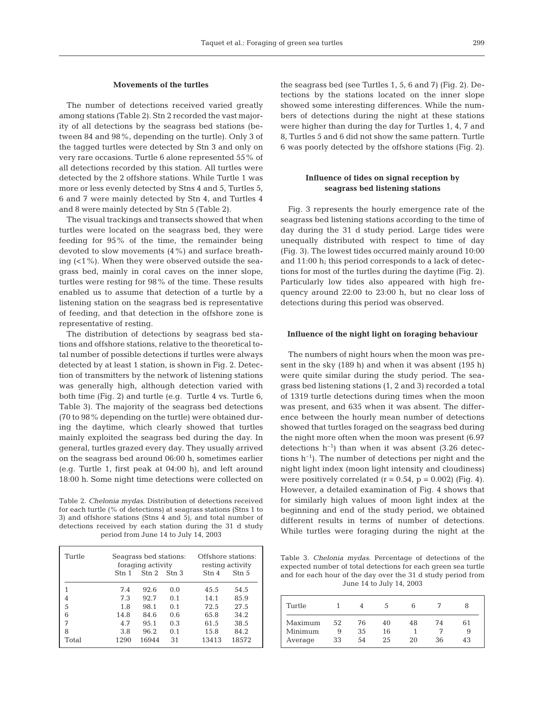## **Movements of the turtles**

The number of detections received varied greatly among stations (Table 2). Stn 2 recorded the vast majority of all detections by the seagrass bed stations (between 84 and 98%, depending on the turtle). Only 3 of the tagged turtles were detected by Stn 3 and only on very rare occasions. Turtle 6 alone represented 55% of all detections recorded by this station. All turtles were detected by the 2 offshore stations. While Turtle 1 was more or less evenly detected by Stns 4 and 5, Turtles 5, 6 and 7 were mainly detected by Stn 4, and Turtles 4 and 8 were mainly detected by Stn 5 (Table 2).

The visual trackings and transects showed that when turtles were located on the seagrass bed, they were feeding for 95% of the time, the remainder being devoted to slow movements (4%) and surface breathing (<1%). When they were observed outside the seagrass bed, mainly in coral caves on the inner slope, turtles were resting for 98% of the time. These results enabled us to assume that detection of a turtle by a listening station on the seagrass bed is representative of feeding, and that detection in the offshore zone is representative of resting.

The distribution of detections by seagrass bed stations and offshore stations, relative to the theoretical total number of possible detections if turtles were always detected by at least 1 station, is shown in Fig. 2. Detection of transmitters by the network of listening stations was generally high, although detection varied with both time (Fig. 2) and turtle (e.g. Turtle 4 vs. Turtle 6, Table 3). The majority of the seagrass bed detections (70 to 98% depending on the turtle) were obtained during the daytime, which clearly showed that turtles mainly exploited the seagrass bed during the day. In general, turtles grazed every day. They usually arrived on the seagrass bed around 06:00 h, sometimes earlier (e.g. Turtle 1, first peak at 04:00 h), and left around 18:00 h. Some night time detections were collected on

Table 2. *Chelonia mydas*. Distribution of detections received for each turtle (% of detections) at seagrass stations (Stns 1 to 3) and offshore stations (Stns 4 and 5), and total number of detections received by each station during the 31 d study period from June 14 to July 14, 2003

| Turtle |       | Seagrass bed stations:<br>foraging activity | Offshore stations:<br>resting activity |                   |                  |
|--------|-------|---------------------------------------------|----------------------------------------|-------------------|------------------|
|        | Stn 1 | Stn <sub>2</sub>                            | - Stn 3                                | S <sub>tn</sub> 4 | Stn <sub>5</sub> |
| 1      | 7.4   | 92.6                                        | 0.0                                    | 45.5              | 54.5             |
| 4      | 7.3   | 92.7                                        | 0.1                                    | 14.1              | 85.9             |
| 5      | 1.8   | 98.1                                        | 0.1                                    | 72.5              | 27.5             |
| 6      | 14.8  | 84.6                                        | 0.6                                    | 65.8              | 34.2             |
| 7      | 4.7   | 95.1                                        | 0.3                                    | 61.5              | 38.5             |
| 8      | 3.8   | 96.2                                        | 0.1                                    | 15.8              | 84.2             |
| Total  | 1290  | 16944                                       | 31                                     | 13413             | 18572            |

the seagrass bed (see Turtles 1, 5, 6 and 7) (Fig. 2). Detections by the stations located on the inner slope showed some interesting differences. While the numbers of detections during the night at these stations were higher than during the day for Turtles 1, 4, 7 and 8, Turtles 5 and 6 did not show the same pattern. Turtle 6 was poorly detected by the offshore stations (Fig. 2).

#### **Influence of tides on signal reception by seagrass bed listening stations**

Fig. 3 represents the hourly emergence rate of the seagrass bed listening stations according to the time of day during the 31 d study period. Large tides were unequally distributed with respect to time of day (Fig. 3). The lowest tides occurred mainly around 10:00 and 11:00 h; this period corresponds to a lack of detections for most of the turtles during the daytime (Fig. 2). Particularly low tides also appeared with high frequency around 22:00 to 23:00 h, but no clear loss of detections during this period was observed.

#### **Influence of the night light on foraging behaviour**

The numbers of night hours when the moon was present in the sky (189 h) and when it was absent (195 h) were quite similar during the study period. The seagrass bed listening stations (1, 2 and 3) recorded a total of 1319 turtle detections during times when the moon was present, and 635 when it was absent. The difference between the hourly mean number of detections showed that turtles foraged on the seagrass bed during the night more often when the moon was present (6.97 detections  $h^{-1}$ ) than when it was absent (3.26 detections  $h^{-1}$ ). The number of detections per night and the night light index (moon light intensity and cloudiness) were positively correlated  $(r = 0.54, p = 0.002)$  (Fig. 4). However, a detailed examination of Fig. 4 shows that for similarly high values of moon light index at the beginning and end of the study period, we obtained different results in terms of number of detections. While turtles were foraging during the night at the

Table 3. *Chelonia mydas*. Percentage of detections of the expected number of total detections for each green sea turtle and for each hour of the day over the 31 d study period from June 14 to July 14, 2003

| Turtle                        |                |                | Ċ.             |          |          |               |
|-------------------------------|----------------|----------------|----------------|----------|----------|---------------|
| Maximum<br>Minimum<br>Average | 52.<br>9<br>33 | 76<br>35<br>54 | 40<br>16<br>25 | 48<br>20 | 74<br>36 | 61<br>9<br>43 |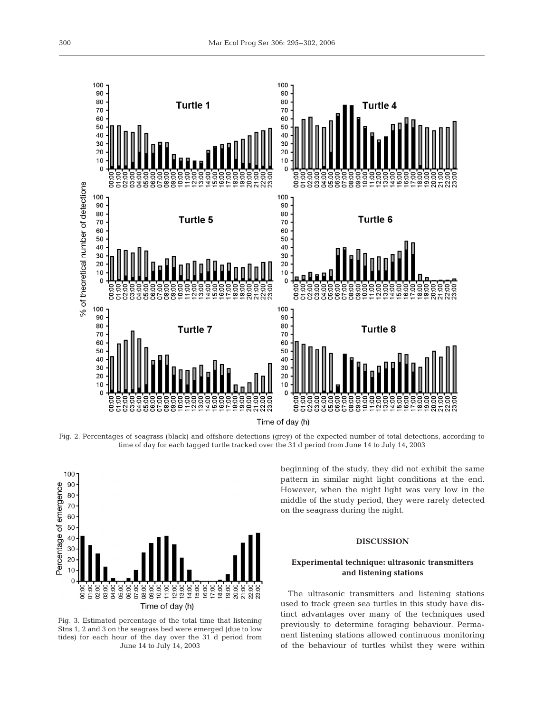

Fig. 2. Percentages of seagrass (black) and offshore detections (grey) of the expected number of total detections, according to time of day for each tagged turtle tracked over the 31 d period from June 14 to July 14, 2003



Fig. 3. Estimated percentage of the total time that listening Stns 1, 2 and 3 on the seagrass bed were emerged (due to low tides) for each hour of the day over the 31 d period from June 14 to July 14, 2003

beginning of the study, they did not exhibit the same pattern in similar night light conditions at the end. However, when the night light was very low in the middle of the study period, they were rarely detected on the seagrass during the night.

## **DISCUSSION**

## **Experimental technique: ultrasonic transmitters and listening stations**

The ultrasonic transmitters and listening stations used to track green sea turtles in this study have distinct advantages over many of the techniques used previously to determine foraging behaviour. Permanent listening stations allowed continuous monitoring of the behaviour of turtles whilst they were within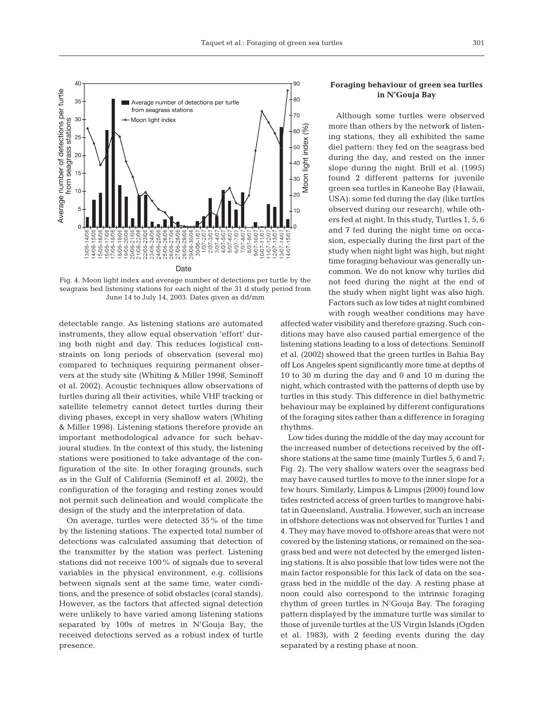

Fig. 4. Moon light index and average number of detections per turtle by the seagrass bed listening stations for each night of the 31 d study period from June 14 to July 14, 2003. Dates given as dd/mm

detectable range. As listening stations are automated instruments, they allow equal observation 'effort' during both night and day. This reduces logistical constraints on long periods of observation (several mo) compared to techniques requiring permanent observers at the study site (Whiting & Miller 1998, Seminoff et al. 2002). Acoustic techniques allow observations of turtles during all their activities, while VHF tracking or satellite telemetry cannot detect turtles during their diving phases, except in very shallow waters (Whiting & Miller 1998). Listening stations therefore provide an important methodological advance for such behavioural studies. In the context of this study, the listening stations were positioned to take advantage of the configuration of the site. In other foraging grounds, such as in the Gulf of California (Seminoff et al. 2002), the configuration of the foraging and resting zones would not permit such delineation and would complicate the design of the study and the interpretation of data.

On average, turtles were detected 35% of the time by the listening stations. The expected total number of detections was calculated assuming that detection of the transmitter by the station was perfect. Listening stations did not receive 100% of signals due to several variables in the physical environment, e.g. collisions between signals sent at the same time, water conditions, and the presence of solid obstacles (coral stands). However, as the factors that affected signal detection were unlikely to have varied among listening stations separated by 100s of metres in N'Gouja Bay, the received detections served as a robust index of turtle presence.

# **Foraging behaviour of green sea turtles in N'Gouja Bay**

Although some turtles were observed more than others by the network of listening stations, they all exhibited the same diel pattern: they fed on the seagrass bed during the day, and rested on the inner slope during the night. Brill et al. (1995) found 2 different patterns for juvenile green sea turtles in Kaneohe Bay (Hawaii, USA): some fed during the day (like turtles observed during our research), while others fed at night. In this study, Turtles 1, 5, 6 and 7 fed during the night time on occasion, especially during the first part of the study when night light was high, but night time foraging behaviour was generally uncommon. We do not know why turtles did not feed during the night at the end of the study when night light was also high. Factors such as low tides at night combined with rough weather conditions may have

affected water visibility and therefore grazing. Such conditions may have also caused partial emergence of the listening stations leading to a loss of detections. Seminoff et al. (2002) showed that the green turtles in Bahia Bay off Los Angeles spent significantly more time at depths of 10 to 30 m during the day and 0 and 10 m during the night, which contrasted with the patterns of depth use by turtles in this study. This difference in diel bathymetric behaviour may be explained by different configurations of the foraging sites rather than a difference in foraging rhythms.

Low tides during the middle of the day may account for the increased number of detections received by the offshore stations at the same time (mainly Turtles 5, 6 and 7; Fig. 2). The very shallow waters over the seagrass bed may have caused turtles to move to the inner slope for a few hours. Similarly, Limpus & Limpus (2000) found low tides restricted access of green turtles to mangrove habitat in Queensland, Australia. However, such an increase in offshore detections was not observed for Turtles 1 and 4. They may have moved to offshore areas that were not covered by the listening stations, or remained on the seagrass bed and were not detected by the emerged listening stations. It is also possible that low tides were not the main factor responsible for this lack of data on the seagrass bed in the middle of the day. A resting phase at noon could also correspond to the intrinsic foraging rhythm of green turtles in N'Gouja Bay. The foraging pattern displayed by the immature turtle was similar to those of juvenile turtles at the US Virgin Islands (Ogden et al. 1983), with 2 feeding events during the day separated by a resting phase at noon.